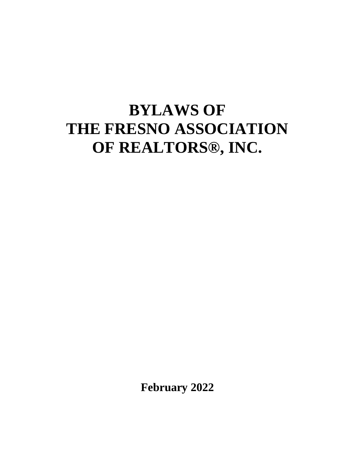# **BYLAWS OF THE FRESNO ASSOCIATION OF REALTORS®, INC.**

**February 2022**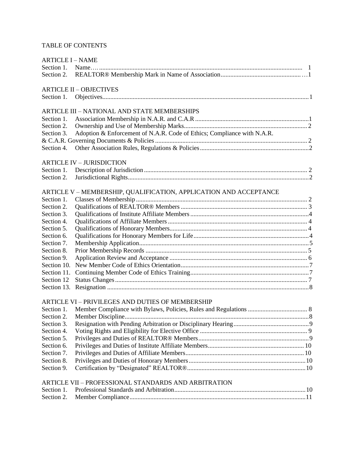# TABLE OF CONTENTS

| <b>ARTICLE I - NAME</b> |                                                                         |  |
|-------------------------|-------------------------------------------------------------------------|--|
|                         |                                                                         |  |
| Section 2.              |                                                                         |  |
|                         | <b>ARTICLE II - OBJECTIVES</b>                                          |  |
| Section 1.              |                                                                         |  |
|                         | <b>ARTICLE III - NATIONAL AND STATE MEMBERSHIPS</b>                     |  |
| Section 1.              |                                                                         |  |
| Section 2.              |                                                                         |  |
| Section 3.              | Adoption & Enforcement of N.A.R. Code of Ethics; Compliance with N.A.R. |  |
|                         |                                                                         |  |
| Section 4.              |                                                                         |  |
|                         | <b>ARTICLE IV - JURISDICTION</b>                                        |  |
| Section 1.              |                                                                         |  |
| Section 2.              |                                                                         |  |
|                         | ARTICLE V – MEMBERSHIP, QUALIFICATION, APPLICATION AND ACCEPTANCE       |  |
| Section 1.              |                                                                         |  |
| Section 2.              |                                                                         |  |
| Section 3.              |                                                                         |  |
| Section 4.              |                                                                         |  |
| Section 5.              |                                                                         |  |
| Section 6.              |                                                                         |  |
| Section 7.              |                                                                         |  |
| Section 8.              |                                                                         |  |
| Section 9.              |                                                                         |  |
| Section 10.             |                                                                         |  |
| Section 11.             |                                                                         |  |
| Section 12              |                                                                         |  |
| Section 13.             |                                                                         |  |
|                         | ARTICLE VI - PRIVILEGES AND DUTIES OF MEMBERSHIP                        |  |
| Section 1.              |                                                                         |  |
| Section 2.              |                                                                         |  |
| Section 3.              |                                                                         |  |
| Section 4.              |                                                                         |  |
| Section 5.              |                                                                         |  |
| Section 6.              |                                                                         |  |
| Section 7.              |                                                                         |  |
| Section 8.              |                                                                         |  |
| Section 9.              |                                                                         |  |
|                         | ARTICLE VII - PROFESSIONAL STANDARDS AND ARBITRATION                    |  |
| Section 1.              |                                                                         |  |
| Section 2.              |                                                                         |  |
|                         |                                                                         |  |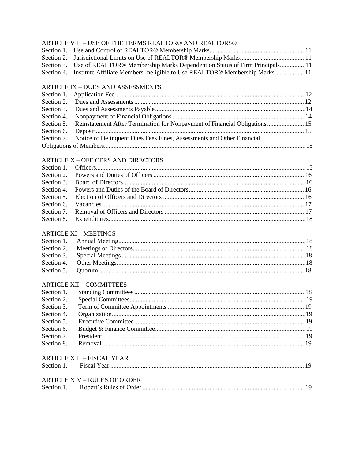## ARTICLE VIII – USE OF THE TERMS REALTOR® AND REALTORS®

| Section 3. Use of REALTOR® Membership Marks Dependent on Status of Firm Principals 11 |  |
|---------------------------------------------------------------------------------------|--|
| Section 4. Institute Affiliate Members Ineligible to Use REALTOR® Membership Marks 11 |  |
|                                                                                       |  |

# **ARTICLE IX - DUES AND ASSESSMENTS**

| Section 5. Reinstatement After Termination for Nonpayment of Financial Obligations 15 |  |
|---------------------------------------------------------------------------------------|--|
|                                                                                       |  |
| Section 7. Notice of Delinquent Dues Fees Fines, Assessments and Other Financial      |  |
|                                                                                       |  |
|                                                                                       |  |

# **ARTICLE X - OFFICERS AND DIRECTORS**

# **ARTICLE XI - MEETINGS**

# **ARTICLE XII - COMMITTEES**

# **ARTICLE XIII - FISCAL YEAR**

| Section | $\ldots$ $\ldots$ $\ldots$ $\ldots$ $\ldots$ $\ldots$ $\ldots$ $\ldots$ $\ldots$ $\ldots$ $\ldots$ $\ldots$ $\ldots$ $\ldots$ $\ldots$ $\ldots$ $\ldots$ $\ldots$ $\ldots$ $\ldots$ $\ldots$ $\ldots$ |  |  |
|---------|-------------------------------------------------------------------------------------------------------------------------------------------------------------------------------------------------------|--|--|
|---------|-------------------------------------------------------------------------------------------------------------------------------------------------------------------------------------------------------|--|--|

# **ARTICLE XIV – RULES OF ORDER**

| Section 1 |  |  |
|-----------|--|--|
|-----------|--|--|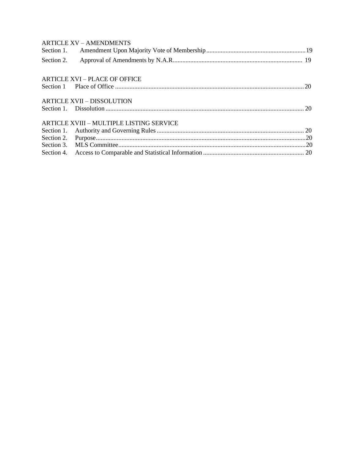| <b>ARTICLE XV - AMENDMENTS</b>                  |  |
|-------------------------------------------------|--|
|                                                 |  |
| Section 2.                                      |  |
| <b>ARTICLE XVI – PLACE OF OFFICE</b>            |  |
|                                                 |  |
| <b>ARTICLE XVII - DISSOLUTION</b>               |  |
|                                                 |  |
| <b>ARTICLE XVIII - MULTIPLE LISTING SERVICE</b> |  |
|                                                 |  |
|                                                 |  |
|                                                 |  |
|                                                 |  |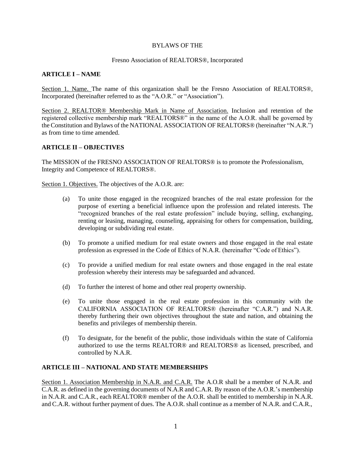#### BYLAWS OF THE

#### Fresno Association of REALTORS®, Incorporated

#### **ARTICLE I – NAME**

Section 1. Name. The name of this organization shall be the Fresno Association of REALTORS®, Incorporated (hereinafter referred to as the "A.O.R." or "Association").

Section 2. REALTOR® Membership Mark in Name of Association. Inclusion and retention of the registered collective membership mark "REALTORS®" in the name of the A.O.R. shall be governed by the Constitution and Bylaws of the NATIONAL ASSOCIATION OF REALTORS® (hereinafter "N.A.R.") as from time to time amended.

#### <span id="page-4-0"></span>**ARTICLE II – OBJECTIVES**

The MISSION of the FRESNO ASSOCIATION OF REALTORS® is to promote the Professionalism, Integrity and Competence of REALTORS®.

Section 1. Objectives. The objectives of the A.O.R. are:

- (a) To unite those engaged in the recognized branches of the real estate profession for the purpose of exerting a beneficial influence upon the profession and related interests. The "recognized branches of the real estate profession" include buying, selling, exchanging, renting or leasing, managing, counseling, appraising for others for compensation, building, developing or subdividing real estate.
- (b) To promote a unified medium for real estate owners and those engaged in the real estate profession as expressed in the Code of Ethics of N.A.R. (hereinafter "Code of Ethics").
- (c) To provide a unified medium for real estate owners and those engaged in the real estate profession whereby their interests may be safeguarded and advanced.
- (d) To further the interest of home and other real property ownership.
- (e) To unite those engaged in the real estate profession in this community with the CALIFORNIA ASSOCIATION OF REALTORS® (hereinafter "C.A.R.") and N.A.R. thereby furthering their own objectives throughout the state and nation, and obtaining the benefits and privileges of membership therein.
- (f) To designate, for the benefit of the public, those individuals within the state of California authorized to use the terms REALTOR® and REALTORS® as licensed, prescribed, and controlled by N.A.R.

#### <span id="page-4-1"></span>**ARTICLE III – NATIONAL AND STATE MEMBERSHIPS**

Section 1. Association Membership in N.A.R. and C.A.R. The A.O.R shall be a member of N.A.R. and C.A.R. as defined in the governing documents of N.A.R and C.A.R. By reason of the A.O.R.'s membership in N.A.R. and C.A.R., each REALTOR® member of the A.O.R. shall be entitled to membership in N.A.R. and C.A.R. without further payment of dues. The A.O.R. shall continue as a member of N.A.R. and C.A.R.,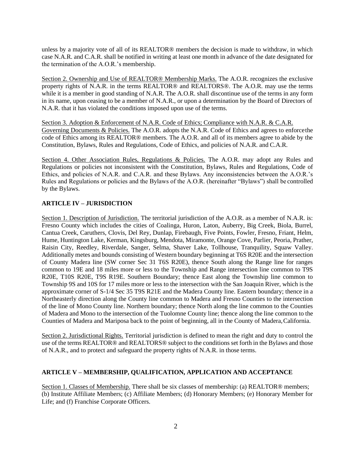unless by a majority vote of all of its REALTOR® members the decision is made to withdraw, in which case N.A.R. and C.A.R. shall be notified in writing at least one month in advance of the date designated for the termination of the A.O.R.'s membership.

Section 2. Ownership and Use of REALTOR® Membership Marks. The A.O.R. recognizes the exclusive property rights of N.A.R. in the terms REALTOR® and REALTORS®. The A.O.R. may use the terms while it is a member in good standing of N.A.R. The A.O.R. shall discontinue use of the terms in any form in its name, upon ceasing to be a member of N.A.R., or upon a determination by the Board of Directors of N.A.R. that it has violated the conditions imposed upon use of the terms.

Section 3. Adoption & Enforcement of N.A.R. Code of Ethics; Compliance with N.A.R. & C.A.R. Governing Documents & Policies. The A.O.R. adopts the N.A.R. Code of Ethics and agrees to enforcethe code of Ethics among its REALTOR® members. The A.O.R. and all of its members agree to abide by the Constitution, Bylaws, Rules and Regulations, Code of Ethics, and policies of N.A.R. and C.A.R.

Section 4. Other Association Rules, Regulations & Policies. The A.O.R. may adopt any Rules and Regulations or policies not inconsistent with the Constitution, Bylaws, Rules and Regulations, Code of Ethics, and policies of N.A.R. and C.A.R. and these Bylaws. Any inconsistencies between the A.O.R.'s Rules and Regulations or policies and the Bylaws of the A.O.R. (hereinafter "Bylaws") shall be controlled by the Bylaws.

## <span id="page-5-0"></span>**ARTICLE IV – JURISDICTION**

Section 1. Description of Jurisdiction. The territorial jurisdiction of the A.O.R. as a member of N.A.R. is: Fresno County which includes the cities of Coalinga, Huron, Laton, Auberry, Big Creek, Biola, Burrel, Cantua Creek, Caruthers, Clovis, Del Rey, Dunlap, Firebaugh, Five Points, Fowler, Fresno, Friant, Helm, Hume, Huntington Lake, Kerman, Kingsburg, Mendota, Miramonte, Orange Cove, Parlier, Peoria, Prather, Raisin City, Reedley, Riverdale, Sanger, Selma, Shaver Lake, Tollhouse, Tranquility, Squaw Valley. Additionally metes and bounds consisting of Western boundary beginning at T6S R20E and the intersection of County Madera line (SW corner Sec 31 T6S R20E), thence South along the Range line for ranges common to 19E and 18 miles more or less to the Township and Range intersection line common to T9S R20E, T10S R20E, T9S R19E. Southern Boundary; thence East along the Township line common to Township 9S and 10S for 17 miles more or less to the intersection with the San Joaquin River, which is the approximate corner of S-1/4 Sec 35 T9S R21E and the Madera County line. Eastern boundary; thence in a Northeasterly direction along the County line common to Madera and Fresno Counties to the intersection of the line of Mono County line. Northern boundary; thence North along the line common to the Counties of Madera and Mono to the intersection of the Tuolomne County line; thence along the line common to the Counties of Madera and Mariposa back to the point of beginning, all in the County of Madera,California.

Section 2. Jurisdictional Rights. Territorial jurisdiction is defined to mean the right and duty to control the use of the terms REALTOR® and REALTORS® subject to the conditions set forth in the Bylaws and those of N.A.R., and to protect and safeguard the property rights of N.A.R. in those terms.

## <span id="page-5-1"></span>**ARTICLE V – MEMBERSHIP, QUALIFICATION, APPLICATION AND ACCEPTANCE**

Section 1. Classes of Membership. There shall be six classes of membership: (a) REALTOR® members; (b) Institute Affiliate Members; (c) Affiliate Members; (d) Honorary Members; (e) Honorary Member for Life; and (f) Franchise Corporate Officers.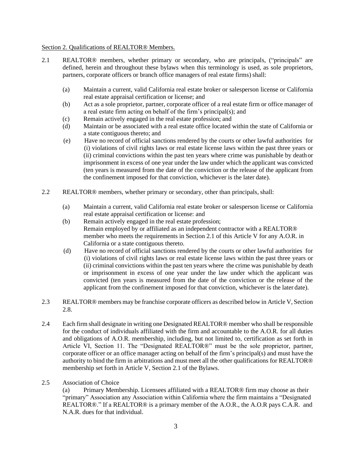#### Section 2. Qualifications of REALTOR® Members.

- 2.1 REALTOR® members, whether primary or secondary, who are principals, ("principals" are defined, herein and throughout these bylaws when this terminology is used, as sole proprietors, partners, corporate officers or branch office managers of real estate firms) shall:
	- (a) Maintain a current, valid California real estate broker or salesperson license or California real estate appraisal certification or license; and
	- (b) Act as a sole proprietor, partner, corporate officer of a real estate firm or office manager of a real estate firm acting on behalf of the firm's principal(s); and
	- (c) Remain actively engaged in the real estate profession; and
	- (d) Maintain or be associated with a real estate office located within the state of California or a state contiguous thereto; and
	- (e) Have no record of official sanctions rendered by the courts or other lawful authorities for (i) violations of civil rights laws or real estate license laws within the past three years or (ii) criminal convictions within the past ten years where crime was punishable by death or imprisonment in excess of one year under the law under which the applicant was convicted (ten years is measured from the date of the conviction or the release of the applicant from the confinement imposed for that conviction, whichever is the later date).
- 2.2 REALTOR® members, whether primary or secondary, other than principals, shall:
	- (a) Maintain a current, valid California real estate broker or salesperson license or California real estate appraisal certification or license: and
	- (b) Remain actively engaged in the real estate profession; Remain employed by or affiliated as an independent contractor with a REALTOR® member who meets the requirements in Section 2.1 of this Article V for any A.O.R. in California or a state contiguous thereto.
	- (d) Have no record of official sanctions rendered by the courts or other lawful authorities for (i) violations of civil rights laws or real estate license laws within the past three years or (ii) criminal convictions within the past ten years where the crime was punishable by death or imprisonment in excess of one year under the law under which the applicant was convicted (ten years is measured from the date of the conviction or the release of the applicant from the confinement imposed for that conviction, whichever is the later date).
- 2.3 REALTOR® members may be franchise corporate officers as described below in Article V, Section 2.8.
- 2.4 Each firm shall designate in writing one Designated REALTOR® member who shall be responsible for the conduct of individuals affiliated with the firm and accountable to the A.O.R. for all duties and obligations of A.O.R. membership, including, but not limited to, certification as set forth in Article VI, Section 11. The "Designated REALTOR®" must be the sole proprietor, partner, corporate officer or an office manager acting on behalf of the firm's principal(s) and must have the authority to bind the firm in arbitrations and must meet all the other qualifications for REALTOR® membership set forth in Article V, Section 2.1 of the Bylaws.
- 2.5 Association of Choice

(a) Primary Membership. Licensees affiliated with a REALTOR® firm may choose as their "primary" Association any Association within California where the firm maintains a "Designated REALTOR®." If a REALTOR® is a primary member of the A.O.R., the A.O.R pays C.A.R. and N.A.R. dues for that individual.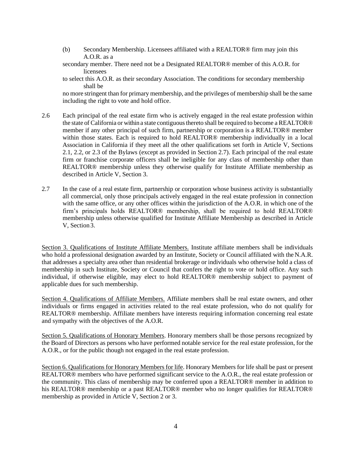- (b) Secondary Membership. Licensees affiliated with a REALTOR® firm may join this A.O.R. as a
- secondary member. There need not be a Designated REALTOR® member of this A.O.R. for licensees
- to select this A.O.R. as their secondary Association. The conditions for secondary membership shall be

no more stringent than for primary membership, and the privileges of membership shall be the same including the right to vote and hold office.

- 2.6 Each principal of the real estate firm who is actively engaged in the real estate profession within the state of California or within a state contiguousthereto shall be required to become a REALTOR® member if any other principal of such firm, partnership or corporation is a REALTOR® member within those states. Each is required to hold REALTOR® membership individually in a local Association in California if they meet all the other qualifications set forth in Article V, Sections 2.1, 2.2, or 2.3 of the Bylaws (except as provided in Section 2.7). Each principal of the real estate firm or franchise corporate officers shall be ineligible for any class of membership other than REALTOR® membership unless they otherwise qualify for Institute Affiliate membership as described in Article V, Section 3.
- 2.7 In the case of a real estate firm, partnership or corporation whose business activity is substantially all commercial, only those principals actively engaged in the real estate profession in connection with the same office, or any other offices within the jurisdiction of the A.O.R. in which one of the firm's principals holds REALTOR® membership, shall be required to hold REALTOR® membership unless otherwise qualified for Institute Affiliate Membership as described in Article V, Section 3.

Section 3. Qualifications of Institute Affiliate Members. Institute affiliate members shall be individuals who hold a professional designation awarded by an Institute, Society or Council affiliated with the N.A.R. that addresses a specialty area other than residential brokerage or individuals who otherwise hold a class of membership in such Institute, Society or Council that confers the right to vote or hold office. Any such individual, if otherwise eligible, may elect to hold REALTOR® membership subject to payment of applicable dues for such membership.

Section 4. Qualifications of Affiliate Members. Affiliate members shall be real estate owners, and other individuals or firms engaged in activities related to the real estate profession, who do not qualify for REALTOR® membership. Affiliate members have interests requiring information concerning real estate and sympathy with the objectives of the A.O.R.

Section 5. Qualifications of Honorary Members. Honorary members shall be those persons recognized by the Board of Directors as persons who have performed notable service for the real estate profession, for the A.O.R., or for the public though not engaged in the real estate profession.

Section 6. Qualifications for Honorary Members for life. Honorary Members for life shall be past or present REALTOR® members who have performed significant service to the A.O.R., the real estate profession or the community. This class of membership may be conferred upon a REALTOR® member in addition to his REALTOR® membership or a past REALTOR® member who no longer qualifies for REALTOR® membership as provided in Article V, Section 2 or 3.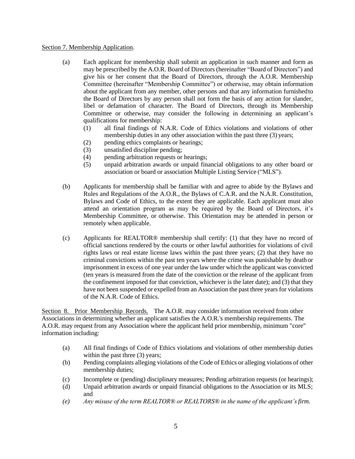#### Section 7. Membership Application.

- (a) Each applicant for membership shall submit an application in such manner and form as may be prescribed by the A.O.R. Board of Directors (hereinafter "Board of Directors") and give his or her consent that the Board of Directors, through the A.O.R. Membership Committee (hereinafter "Membership Committee") or otherwise, may obtain information about the applicant from any member, other persons and that any information furnishedto the Board of Directors by any person shall not form the basis of any action for slander, libel or defamation of character. The Board of Directors, through its Membership Committee or otherwise, may consider the following in determining an applicant's qualifications for membership:
	- (1) all final findings of N.A.R. Code of Ethics violations and violations of other membership duties in any other association within the past three (3) years;
	- (2) pending ethics complaints or hearings;
	- (3) unsatisfied discipline pending;
	- (4) pending arbitration requests or hearings;
	- (5) unpaid arbitration awards or unpaid financial obligations to any other board or association or board or association Multiple Listing Service ("MLS").
- (b) Applicants for membership shall be familiar with and agree to abide by the Bylaws and Rules and Regulations of the A.O.R., the Bylaws of C.A.R. and the N.A.R. Constitution, Bylaws and Code of Ethics, to the extent they are applicable. Each applicant must also attend an orientation program as may be required by the Board of Directors, it's Membership Committee, or otherwise. This Orientation may be attended in person or remotely when applicable.
- (c) Applicants for REALTOR® membership shall certify: (1) that they have no record of official sanctions rendered by the courts or other lawful authorities for violations of civil rights laws or real estate license laws within the past three years; (2) that they have no criminal convictions within the past ten years where the crime was punishable by death or imprisonment in excess of one year under the law under which the applicant was convicted (ten years is measured from the date of the conviction or the release of the applicant from the confinement imposed for that conviction, whichever is the later date); and (3) that they have not been suspended or expelled from an Association the past three years for violations of the N.A.R. Code of Ethics.

Section 8. Prior Membership Records. The A.O.R. may consider information received from other Associations in determining whether an applicant satisfies the A.O.R.'s membership requirements. The A.O.R. may request from any Association where the applicant held prior membership, minimum "core" information including:

- (a) All final findings of Code of Ethics violations and violations of other membership duties within the past three (3) years:
- (b) Pending complaints alleging violations of the Code of Ethics or alleging violations of other membership duties;
- (c) Incomplete or (pending) disciplinary measures; Pending arbitration requests (or hearings);
- (d) Unpaid arbitration awards or unpaid financial obligations to the Association or its MLS; and
- *(e) Any misuse of the term REALTOR® or REALTORS® in the name of the applicant'sfirm.*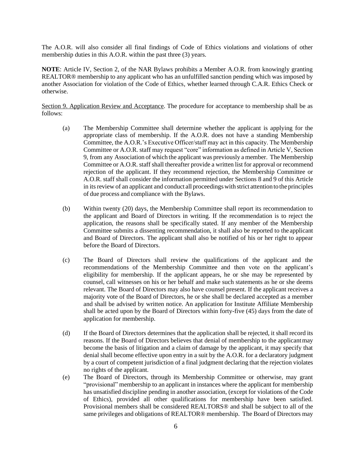The A.O.R. will also consider all final findings of Code of Ethics violations and violations of other membership duties in this A.O.R. within the past three (3) years.

**NOTE**: Article IV, Section 2, of the NAR Bylaws prohibits a Member A.O.R. from knowingly granting REALTOR® membership to any applicant who has an unfulfilled sanction pending which was imposed by another Association for violation of the Code of Ethics, whether learned through C.A.R. Ethics Check or otherwise.

Section 9. Application Review and Acceptance. The procedure for acceptance to membership shall be as follows:

- (a) The Membership Committee shall determine whether the applicant is applying for the appropriate class of membership. If the A.O.R. does not have a standing Membership Committee, the A.O.R.'s Executive Officer/staff may act in this capacity. The Membership Committee or A.O.R. staff may request "core" information as defined in Article V, Section 9, from any Association of which the applicant was previously a member. The Membership Committee or A.O.R. staff shall thereafter provide a written list for approval or recommend rejection of the applicant. If they recommend rejection, the Membership Committee or A.O.R. staff shall consider the information permitted under Sections 8 and 9 of this Article in its review of an applicant and conduct all proceedingswith strict attention to the principles of due process and compliance with the Bylaws.
- (b) Within twenty (20) days, the Membership Committee shall report its recommendation to the applicant and Board of Directors in writing. If the recommendation is to reject the application, the reasons shall be specifically stated. If any member of the Membership Committee submits a dissenting recommendation, it shall also be reported to the applicant and Board of Directors. The applicant shall also be notified of his or her right to appear before the Board of Directors.
- (c) The Board of Directors shall review the qualifications of the applicant and the recommendations of the Membership Committee and then vote on the applicant's eligibility for membership. If the applicant appears, he or she may be represented by counsel, call witnesses on his or her behalf and make such statements as he or she deems relevant. The Board of Directors may also have counsel present. If the applicant receives a majority vote of the Board of Directors, he or she shall be declared accepted as a member and shall be advised by written notice. An application for Institute Affiliate Membership shall be acted upon by the Board of Directors within forty-five (45) days from the date of application for membership.
- (d) If the Board of Directors determines that the application shall be rejected, it shall record its reasons. If the Board of Directors believes that denial of membership to the applicantmay become the basis of litigation and a claim of damage by the applicant, it may specify that denial shall become effective upon entry in a suit by the A.O.R. for a declaratory judgment by a court of competent jurisdiction of a final judgment declaring that the rejection violates no rights of the applicant.
- (e) The Board of Directors, through its Membership Committee or otherwise, may grant "provisional" membership to an applicant in instances where the applicant for membership has unsatisfied discipline pending in another association, (except for violations of the Code of Ethics), provided all other qualifications for membership have been satisfied. Provisional members shall be considered REALTORS® and shall be subject to all of the same privileges and obligations of REALTOR® membership. The Board of Directors may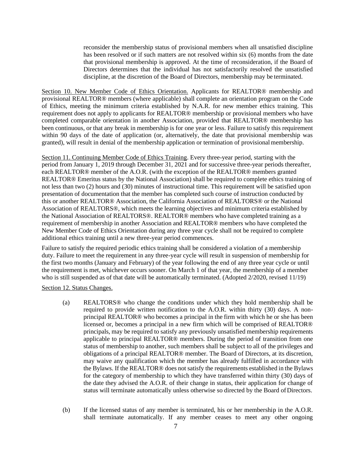reconsider the membership status of provisional members when all unsatisfied discipline has been resolved or if such matters are not resolved within six (6) months from the date that provisional membership is approved. At the time of reconsideration, if the Board of Directors determines that the individual has not satisfactorily resolved the unsatisfied discipline, at the discretion of the Board of Directors, membership may be terminated.

Section 10. New Member Code of Ethics Orientation. Applicants for REALTOR® membership and provisional REALTOR® members (where applicable) shall complete an orientation program on the Code of Ethics, meeting the minimum criteria established by N.A.R. for new member ethics training. This requirement does not apply to applicants for REALTOR® membership or provisional members who have completed comparable orientation in another Association, provided that REALTOR® membership has been continuous, or that any break in membership is for one year or less. Failure to satisfy this requirement within 90 days of the date of application (or, alternatively, the date that provisional membership was granted), will result in denial of the membership application or termination of provisionalmembership.

Section 11. Continuing Member Code of Ethics Training. Every three-year period, starting with the period from January 1, 2019 through December 31, 2021 and for successive three-year periods thereafter, each REALTOR® member of the A.O.R. (with the exception of the REALTOR® members granted REALTOR® Emeritus status by the National Association) shall be required to complete ethics training of not less than two (2) hours and (30) minutes of instructional time. This requirement will be satisfied upon presentation of documentation that the member has completed such course of instruction conducted by this or another REALTOR® Association, the California Association of REALTORS® or the National Association of REALTORS®, which meets the learning objectives and minimum criteria established by the National Association of REALTORS®. REALTOR® members who have completed training as a requirement of membership in another Association and REALTOR® members who have completed the New Member Code of Ethics Orientation during any three year cycle shall not be required to complete additional ethics training until a new three-year period commences.

Failure to satisfy the required periodic ethics training shall be considered a violation of a membership duty. Failure to meet the requirement in any three-year cycle will result in suspension of membership for the first two months (January and February) of the year following the end of any three year cycle or until the requirement is met, whichever occurs sooner. On March 1 of that year, the membership of a member who is still suspended as of that date will be automatically terminated. (Adopted 2/2020, revised 11/19)

#### Section 12. Status Changes.

- (a) REALTORS® who change the conditions under which they hold membership shall be required to provide written notification to the A.O.R. within thirty (30) days. A nonprincipal REALTOR® who becomes a principal in the firm with which he or she has been licensed or, becomes a principal in a new firm which will be comprised of REALTOR® principals, may be required to satisfy any previously unsatisfied membership requirements applicable to principal REALTOR® members. During the period of transition from one status of membership to another, such members shall be subject to all of the privileges and obligations of a principal REALTOR® member. The Board of Directors, at its discretion, may waive any qualification which the member has already fulfilled in accordance with the Bylaws. If the REALTOR® does not satisfy the requirements established in the Bylaws for the category of membership to which they have transferred within thirty (30) days of the date they advised the A.O.R. of their change in status, their application for change of status will terminate automatically unless otherwise so directed by the Board ofDirectors.
- (b) If the licensed status of any member is terminated, his or her membership in the A.O.R. shall terminate automatically. If any member ceases to meet any other ongoing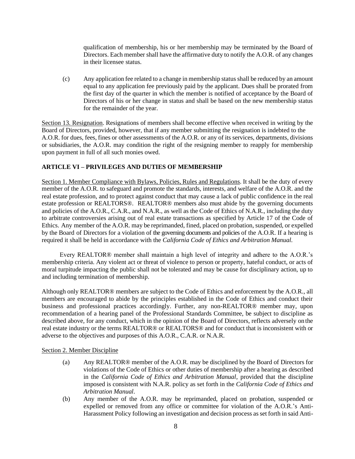qualification of membership, his or her membership may be terminated by the Board of Directors. Each member shall have the affirmative duty to notify the A.O.R. of any changes in their licensee status.

(c) Any application fee related to a change in membership status shall be reduced by an amount equal to any application fee previously paid by the applicant. Dues shall be prorated from the first day of the quarter in which the member is notified of acceptance by the Board of Directors of his or her change in status and shall be based on the new membership status for the remainder of the year.

Section 13. Resignation. Resignations of members shall become effective when received in writing by the Board of Directors, provided, however, that if any member submitting the resignation is indebted to the A.O.R. for dues, fees, fines or other assessments of the A.O.R. or any of its services, departments, divisions or subsidiaries, the A.O.R. may condition the right of the resigning member to reapply for membership upon payment in full of all such monies owed.

## <span id="page-11-0"></span>**ARTICLE VI – PRIVILEGES AND DUTIES OF MEMBERSHIP**

Section 1. Member Compliance with Bylaws, Policies, Rules and Regulations. It shall be the duty of every member of the A.O.R. to safeguard and promote the standards, interests, and welfare of the A.O.R. and the real estate profession, and to protect against conduct that may cause a lack of public confidence in the real estate profession or REALTORS®. REALTOR® members also must abide by the governing documents and policies of the A.O.R., C.A.R., and N.A.R., as well as the Code of Ethics of N.A.R., including the duty to arbitrate controversies arising out of real estate transactions as specified by Article 17 of the Code of Ethics. Any member of the A.O.R. may be reprimanded, fined, placed on probation, suspended, or expelled by the Board of Directors for a violation of the governing documents and policies of the A.O.R. If a hearing is required it shall be held in accordance with the *California Code of Ethics and Arbitration Manual.*

Every REALTOR® member shall maintain a high level of integrity and adhere to the A.O.R.'s membership criteria. Any violent act or threat of violence to person or property, hateful conduct, or acts of moral turpitude impacting the public shall not be tolerated and may be cause for disciplinary action, up to and including termination of membership.

Although only REALTOR® members are subject to the Code of Ethics and enforcement by the A.O.R., all members are encouraged to abide by the principles established in the Code of Ethics and conduct their business and professional practices accordingly. Further, any non-REALTOR® member may, upon recommendation of a hearing panel of the Professional Standards Committee, be subject to discipline as described above, for any conduct, which in the opinion of the Board of Directors, reflects adversely on the real estate industry or the terms REALTOR® or REALTORS® and for conduct that is inconsistent with or adverse to the objectives and purposes of this A.O.R., C.A.R. or N.A.R.

#### Section 2. Member Discipline

- (a) Any REALTOR® member of the A.O.R. may be disciplined by the Board of Directors for violations of the Code of Ethics or other duties of membership after a hearing as described in the *California Code of Ethics and Arbitration Manual*, provided that the discipline imposed is consistent with N.A.R. policy as set forth in the *California Code of Ethics and Arbitration Manual*.
- (b) Any member of the A.O.R. may be reprimanded, placed on probation, suspended or expelled or removed from any office or committee for violation of the A.O.R.'s Anti-Harassment Policy following an investigation and decision process as set forth in said Anti-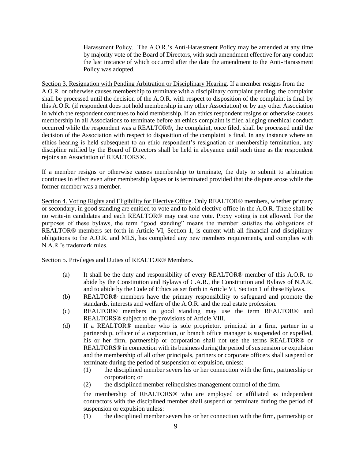Harassment Policy. The A.O.R.'s Anti-Harassment Policy may be amended at any time by majority vote of the Board of Directors, with such amendment effective for any conduct the last instance of which occurred after the date the amendment to the Anti-Harassment Policy was adopted.

Section 3. Resignation with Pending Arbitration or Disciplinary Hearing. If a member resigns from the A.O.R. or otherwise causes membership to terminate with a disciplinary complaint pending, the complaint shall be processed until the decision of the A.O.R. with respect to disposition of the complaint is final by this A.O.R. (if respondent does not hold membership in any other Association) or by any other Association in which the respondent continues to hold membership. If an ethics respondent resigns or otherwise causes membership in all Associations to terminate before an ethics complaint is filed alleging unethical conduct occurred while the respondent was a REALTOR®, the complaint, once filed, shall be processed until the decision of the Association with respect to disposition of the complaint is final. In any instance where an ethics hearing is held subsequent to an ethic respondent's resignation or membership termination, any discipline ratified by the Board of Directors shall be held in abeyance until such time as the respondent rejoins an Association of REALTORS®.

If a member resigns or otherwise causes membership to terminate, the duty to submit to arbitration continues in effect even after membership lapses or is terminated provided that the dispute arose while the former member was a member.

Section 4. Voting Rights and Eligibility for Elective Office. Only REALTOR® members, whether primary or secondary, in good standing are entitled to vote and to hold elective office in the A.O.R. There shall be no write-in candidates and each REALTOR® may cast one vote. Proxy voting is not allowed. For the purposes of these bylaws, the term "good standing" means the member satisfies the obligations of REALTOR® members set forth in Article VI, Section 1, is current with all financial and disciplinary obligations to the A.O.R. and MLS, has completed any new members requirements, and complies with N.A.R.'s trademark rules.

Section 5. Privileges and Duties of REALTOR® Members.

- (a) It shall be the duty and responsibility of every REALTOR® member of this A.O.R. to abide by the Constitution and Bylaws of C.A.R., the Constitution and Bylaws of N.A.R. and to abide by the Code of Ethics as set forth in Article VI, Section 1 of these Bylaws.
- (b) REALTOR® members have the primary responsibility to safeguard and promote the standards, interests and welfare of the A.O.R. and the real estate profession.
- (c) REALTOR® members in good standing may use the term REALTOR® and REALTORS® subject to the provisions of Article VIII.
- (d) If a REALTOR® member who is sole proprietor, principal in a firm, partner in a partnership, officer of a corporation, or branch office manager is suspended or expelled, his or her firm, partnership or corporation shall not use the terms REALTOR® or REALTORS® in connection with its business during the period of suspension or expulsion and the membership of all other principals, partners or corporate officers shall suspend or terminate during the period of suspension or expulsion, unless:
	- (1) the disciplined member severs his or her connection with the firm, partnership or corporation; or
	- (2) the disciplined member relinquishes management control of the firm.

the membership of REALTORS® who are employed or affiliated as independent contractors with the disciplined member shall suspend or terminate during the period of suspension or expulsion unless:

(1) the disciplined member severs his or her connection with the firm, partnership or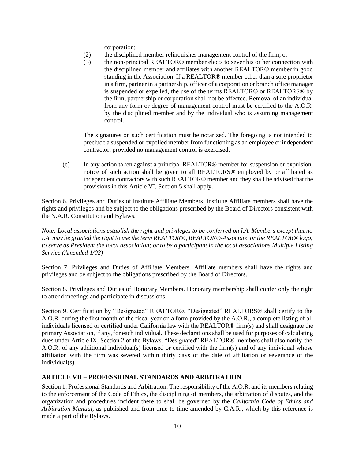corporation;

- (2) the disciplined member relinquishes management control of the firm; or
- (3) the non-principal REALTOR® member elects to sever his or her connection with the disciplined member and affiliates with another REALTOR® member in good standing in the Association. If a REALTOR® member other than a sole proprietor in a firm, partner in a partnership, officer of a corporation or branch office manager is suspended or expelled, the use of the terms REALTOR® or REALTORS® by the firm, partnership or corporation shall not be affected. Removal of an individual from any form or degree of management control must be certified to the A.O.R. by the disciplined member and by the individual who is assuming management control.

The signatures on such certification must be notarized. The foregoing is not intended to preclude a suspended or expelled member from functioning as an employee or independent contractor, provided no management control is exercised.

(e) In any action taken against a principal REALTOR® member for suspension or expulsion, notice of such action shall be given to all REALTORS® employed by or affiliated as independent contractors with such REALTOR® member and they shall be advised that the provisions in this Article VI, Section 5 shall apply.

Section 6. Privileges and Duties of Institute Affiliate Members. Institute Affiliate members shall have the rights and privileges and be subject to the obligations prescribed by the Board of Directors consistent with the N.A.R. Constitution and Bylaws.

*Note: Local associations establish the right and privileges to be conferred on I.A. Members except that no I.A. may be granted the right to use the term REALTOR®, REALTOR®-Associate, or the REALTOR® logo;*  to serve as President the local association; or to be a participant in the local associations Multiple Listing *Service (Amended 1/02)*

Section 7. Privileges and Duties of Affiliate Members. Affiliate members shall have the rights and privileges and be subject to the obligations prescribed by the Board of Directors.

Section 8. Privileges and Duties of Honorary Members. Honorary membership shall confer only the right to attend meetings and participate in discussions.

Section 9. Certification by "Designated" REALTOR®. "Designated" REALTORS® shall certify to the A.O.R. during the first month of the fiscal year on a form provided by the A.O.R., a complete listing of all individuals licensed or certified under California law with the REALTOR® firm(s) and shall designate the primary Association, if any, for each individual. These declarations shall be used for purposes of calculating dues under Article IX, Section 2 of the Bylaws. "Designated" REALTOR® members shall also notify the A.O.R. of any additional individual(s) licensed or certified with the firm(s) and of any individual whose affiliation with the firm was severed within thirty days of the date of affiliation or severance of the individual(s).

## <span id="page-13-0"></span>**ARTICLE VII – PROFESSIONAL STANDARDS AND ARBITRATION**

Section 1. Professional Standards and Arbitration. The responsibility of the A.O.R. and its members relating to the enforcement of the Code of Ethics, the disciplining of members, the arbitration of disputes, and the organization and procedures incident there to shall be governed by the *California Code of Ethics and Arbitration Manual,* as published and from time to time amended by C.A.R., which by this reference is made a part of the Bylaws.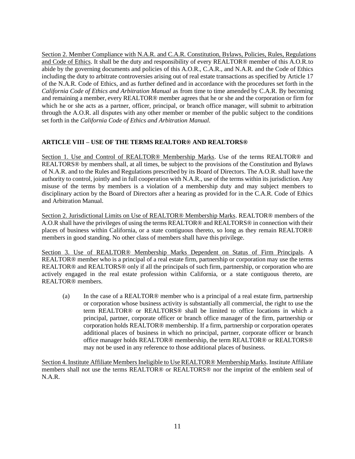Section 2. Member Compliance with N.A.R. and C.A.R. Constitution, Bylaws, Policies, Rules, Regulations and Code of Ethics. It shall be the duty and responsibility of every REALTOR® member of this A.O.R.to abide by the governing documents and policies of this A.O.R., C.A.R., and N.A.R. and the Code of Ethics including the duty to arbitrate controversies arising out of real estate transactions as specified by Article 17 of the N.A.R. Code of Ethics, and as further defined and in accordance with the procedures set forth in the *California Code of Ethics and Arbitration Manual* as from time to time amended by C.A.R. By becoming and remaining a member, every REALTOR® member agrees that he or she and the corporation or firm for which he or she acts as a partner, officer, principal, or branch office manager, will submit to arbitration through the A.O.R. all disputes with any other member or member of the public subject to the conditions set forth in the *California Code of Ethics and Arbitration Manual.*

# <span id="page-14-0"></span>**ARTICLE VIII – USE OF THE TERMS REALTOR® AND REALTORS®**

Section 1. Use and Control of REALTOR® Membership Marks. Use of the terms REALTOR® and REALTORS® by members shall, at all times, be subject to the provisions of the Constitution and Bylaws of N.A.R. and to the Rules and Regulations prescribed by its Board of Directors. The A.O.R. shall have the authority to control, jointly and in full cooperation with N.A.R., use of the terms within its jurisdiction. Any misuse of the terms by members is a violation of a membership duty and may subject members to disciplinary action by the Board of Directors after a hearing as provided for in the C.A.R. Code of Ethics and Arbitration Manual.

Section 2. Jurisdictional Limits on Use of REALTOR® Membership Marks. REALTOR® members of the A.O.R shall have the privileges of using the terms REALTOR® and REALTORS® in connection with their places of business within California, or a state contiguous thereto, so long as they remain REALTOR® members in good standing. No other class of members shall have this privilege.

Section 3. Use of REALTOR® Membership Marks Dependent on Status of Firm Principals. A REALTOR® member who is a principal of a real estate firm, partnership or corporation may use the terms REALTOR® and REALTORS® only if all the principals of such firm, partnership, or corporation who are actively engaged in the real estate profession within California, or a state contiguous thereto, are REALTOR® members.

(a) In the case of a REALTOR® member who is a principal of a real estate firm, partnership or corporation whose business activity is substantially all commercial, the right to use the term REALTOR® or REALTORS® shall be limited to office locations in which a principal, partner, corporate officer or branch office manager of the firm, partnership or corporation holds REALTOR® membership. If a firm, partnership or corporation operates additional places of business in which no principal, partner, corporate officer or branch office manager holds REALTOR® membership, the term REALTOR® or REALTORS® may not be used in any reference to those additional places of business.

<span id="page-14-1"></span>Section 4. Institute Affiliate Members Ineligible to Use REALTOR® Membership Marks. Institute Affiliate members shall not use the terms REALTOR® or REALTORS® nor the imprint of the emblem seal of N.A.R.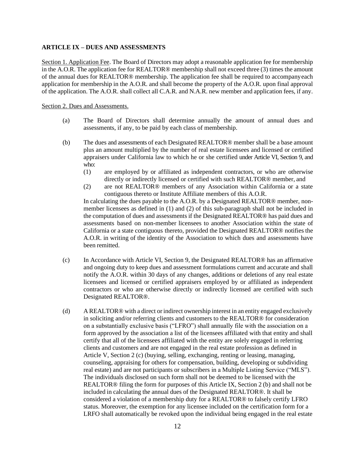## **ARTICLE IX – DUES AND ASSESSMENTS**

Section 1. Application Fee. The Board of Directors may adopt a reasonable application fee for membership in the A.O.R. The application fee for REALTOR® membership shall not exceed three (3) times the amount of the annual dues for REALTOR® membership. The application fee shall be required to accompanyeach application for membership in the A.O.R. and shall become the property of the A.O.R. upon final approval of the application. The A.O.R. shall collect all C.A.R. and N.A.R. new member and application fees, if any.

#### Section 2. Dues and Assessments.

- (a) The Board of Directors shall determine annually the amount of annual dues and assessments, if any, to be paid by each class of membership.
- (b) The dues and assessments of each Designated REALTOR® member shall be a base amount plus an amount multiplied by the number of real estate licensees and licensed or certified appraisers under California law to which he or she certified under Article VI, Section 9, and who:
	- (1) are employed by or affiliated as independent contractors, or who are otherwise directly or indirectly licensed or certified with such REALTOR® member, and
	- (2) are not REALTOR® members of any Association within California or a state contiguous thereto or Institute Affiliate members of this A.O.R.

In calculating the dues payable to the A.O.R. by a Designated REALTOR® member, nonmember licensees as defined in (1) and (2) of this sub-paragraph shall not be included in the computation of dues and assessments if the Designated REALTOR® has paid dues and assessments based on non-member licensees to another Association within the state of California or a state contiguous thereto, provided the Designated REALTOR® notifies the A.O.R. in writing of the identity of the Association to which dues and assessments have been remitted.

- (c) In Accordance with Article VI, Section 9, the Designated REALTOR® has an affirmative and ongoing duty to keep dues and assessment formulations current and accurate and shall notify the A.O.R. within 30 days of any changes, additions or deletions of any real estate licensees and licensed or certified appraisers employed by or affiliated as independent contractors or who are otherwise directly or indirectly licensed are certified with such Designated REALTOR®.
- (d) A REALTOR® with a direct or indirect ownership interest in an entity engaged exclusively in soliciting and/or referring clients and customers to the REALTOR® for consideration on a substantially exclusive basis ("LFRO") shall annually file with the association on a form approved by the association a list of the licensees affiliated with that entity and shall certify that all of the licensees affiliated with the entity are solely engaged in referring clients and customers and are not engaged in the real estate profession as defined in Article V, Section 2 (c) (buying, selling, exchanging, renting or leasing, managing, counseling, appraising for others for compensation, building, developing or subdividing real estate) and are not participants or subscribers in a Multiple Listing Service ("MLS"). The individuals disclosed on such form shall not be deemed to be licensed with the REALTOR® filing the form for purposes of this Article IX, Section 2 (b) and shall not be included in calculating the annual dues of the Designated REALTOR®. It shall be considered a violation of a membership duty for a REALTOR® to falsely certify LFRO status. Moreover, the exemption for any licensee included on the certification form for a LRFO shall automatically be revoked upon the individual being engaged in the real estate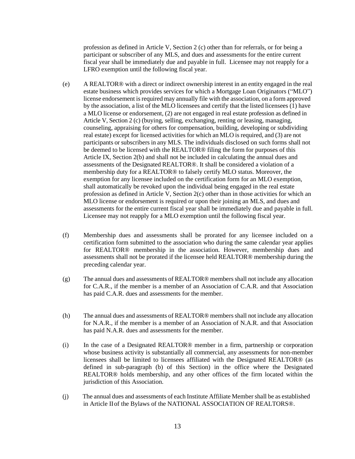profession as defined in Article V, Section 2 (c) other than for referrals, or for being a participant or subscriber of any MLS, and dues and assessments for the entire current fiscal year shall be immediately due and payable in full. Licensee may not reapply for a LFRO exemption until the following fiscal year.

- (e) A REALTOR® with a direct or indirect ownership interest in an entity engaged in the real estate business which provides services for which a Mortgage Loan Originators ("MLO") license endorsement is required may annually file with the association, on a form approved by the association, a list of the MLO licensees and certify that the listed licensees (1) have a MLO license or endorsement, (2) are not engaged in real estate profession as defined in Article V, Section 2 (c) (buying, selling, exchanging, renting or leasing, managing, counseling, appraising for others for compensation, building, developing or subdividing real estate) except for licensed activities for which an MLO isrequired, and (3) are not participants or subscribers in any MLS. The individuals disclosed on such forms shall not be deemed to be licensed with the REALTOR® filing the form for purposes of this Article IX, Section 2(b) and shall not be included in calculating the annual dues and assessments of the Designated REALTOR®. It shall be considered a violation of a membership duty for a REALTOR® to falsely certify MLO status. Moreover, the exemption for any licensee included on the certification form for an MLO exemption, shall automatically be revoked upon the individual being engaged in the real estate profession as defined in Article V, Section 2(c) other than in those activities for which an MLO license or endorsement is required or upon their joining an MLS, and dues and assessments for the entire current fiscal year shall be immediately due and payable in full. Licensee may not reapply for a MLO exemption until the following fiscal year.
- (f) Membership dues and assessments shall be prorated for any licensee included on a certification form submitted to the association who during the same calendar year applies for REALTOR® membership in the association. However, membership dues and assessments shall not be prorated if the licensee held REALTOR® membership during the preceding calendar year.
- (g) The annual dues and assessments of REALTOR® members shall not include any allocation for C.A.R., if the member is a member of an Association of C.A.R. and that Association has paid C.A.R. dues and assessments for the member.
- (h) The annual dues and assessments of REALTOR® members shall not include any allocation for N.A.R., if the member is a member of an Association of N.A.R. and that Association has paid N.A.R. dues and assessments for the member.
- (i) In the case of a Designated REALTOR® member in a firm, partnership or corporation whose business activity is substantially all commercial, any assessments for non-member licensees shall be limited to licensees affiliated with the Designated REALTOR® (as defined in sub-paragraph (b) of this Section) in the office where the Designated REALTOR® holds membership, and any other offices of the firm located within the jurisdiction of this Association.
- (j) The annual dues and assessments of each Institute Affiliate Member shall be as established in Article IIof the Bylaws of the NATIONAL ASSOCIATION OF REALTORS®.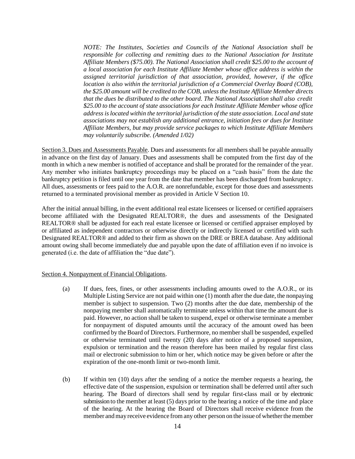*NOTE: The Institutes, Societies and Councils of the National Association shall be responsible for collecting and remitting dues to the National Association for Institute Affiliate Members (\$75.00). The National Association shall credit \$25.00 to the account of a local association for each Institute Affiliate Member whose office address is within the assigned territorial jurisdiction of that association, provided, however, if the office location is also within the territorial jurisdiction of a Commercial Overlay Board (COB), the \$25.00 amount will be credited to the COB, unless the Institute Affiliate Member directs that the dues be distributed to the other board. The National Association shall also credit \$25.00 to the account of state associations for each Institute Affiliate Member whose office address islocated within the territorial jurisdiction of the state association. Local and state associations may not establish any additional entrance, initiation fees or dues for Institute Affiliate Members, but may provide service packages to which Institute Affiliate Members may voluntarily subscribe. (Amended 1/02)*

Section 3. Dues and Assessments Payable. Dues and assessments for all members shall be payable annually in advance on the first day of January. Dues and assessments shall be computed from the first day of the month in which a new member is notified of acceptance and shall be prorated for the remainder of the year. Any member who initiates bankruptcy proceedings may be placed on a "cash basis" from the date the bankruptcy petition is filed until one year from the date that member has been discharged from bankruptcy. All dues, assessments or fees paid to the A.O.R. are nonrefundable, except for those dues and assessments returned to a terminated provisional member as provided in Article V Section 10.

After the initial annual billing, in the event additional real estate licensees or licensed or certified appraisers become affiliated with the Designated REALTOR®, the dues and assessments of the Designated REALTOR® shall be adjusted for each real estate licensee or licensed or certified appraiser employed by or affiliated as independent contractors or otherwise directly or indirectly licensed or certified with such Designated REALTOR® and added to their firm as shown on the DRE or BREA database. Any additional amount owing shall become immediately due and payable upon the date of affiliation even if no invoice is generated (i.e. the date of affiliation the "due date").

#### Section 4. Nonpayment of Financial Obligations.

- (a) If dues, fees, fines, or other assessments including amounts owed to the A.O.R., or its Multiple Listing Service are not paid within one (1) month after the due date, the nonpaying member is subject to suspension. Two (2) months after the due date, membership of the nonpaying member shall automatically terminate unless within that time the amount due is paid. However, no action shall be taken to suspend, expel or otherwise terminate a member for nonpayment of disputed amounts until the accuracy of the amount owed has been confirmed by the Board of Directors. Furthermore, no member shall be suspended, expelled or otherwise terminated until twenty (20) days after notice of a proposed suspension, expulsion or termination and the reason therefore has been mailed by regular first class mail or electronic submission to him or her, which notice may be given before or after the expiration of the one-month limit or two-month limit.
- (b) If within ten (10) days after the sending of a notice the member requests a hearing, the effective date of the suspension, expulsion or termination shall be deferred until after such hearing. The Board of directors shall send by regular first-class mail or by electronic submission to the member at least (5) days prior to the hearing a notice of the time and place of the hearing. At the hearing the Board of Directors shall receive evidence from the member and may receive evidence from any other person on the issue of whether the member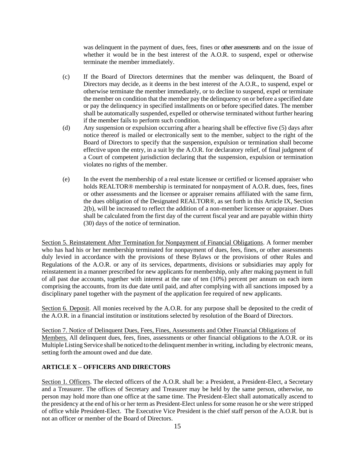was delinquent in the payment of dues, fees, fines or other assessments and on the issue of whether it would be in the best interest of the A.O.R. to suspend, expel or otherwise terminate the member immediately.

- (c) If the Board of Directors determines that the member was delinquent, the Board of Directors may decide, as it deems in the best interest of the A.O.R., to suspend, expel or otherwise terminate the member immediately, or to decline to suspend, expel or terminate the member on condition that the member pay the delinquency on or before a specified date or pay the delinquency in specified installments on or before specified dates. The member shall be automatically suspended, expelled or otherwise terminated without further hearing if the member fails to perform such condition.
- (d) Any suspension or expulsion occurring after a hearing shall be effective five (5) days after notice thereof is mailed or electronically sent to the member, subject to the right of the Board of Directors to specify that the suspension, expulsion or termination shall become effective upon the entry, in a suit by the A.O.R. for declaratory relief, of final judgment of a Court of competent jurisdiction declaring that the suspension, expulsion or termination violates no rights of the member.
- (e) In the event the membership of a real estate licensee or certified or licensed appraiser who holds REALTOR® membership is terminated for nonpayment of A.O.R. dues, fees, fines or other assessments and the licensee or appraiser remains affiliated with the same firm, the dues obligation of the Designated REALTOR®, as set forth in this Article IX, Section 2(b), will be increased to reflect the addition of a non-member licensee or appraiser. Dues shall be calculated from the first day of the current fiscal year and are payable within thirty (30) days of the notice of termination.

Section 5. Reinstatement After Termination for Nonpayment of Financial Obligations. A former member who has had his or her membership terminated for nonpayment of dues, fees, fines, or other assessments duly levied in accordance with the provisions of these Bylaws or the provisions of other Rules and Regulations of the A.O.R. or any of its services, departments, divisions or subsidiaries may apply for reinstatement in a manner prescribed for new applicants for membership, only after making payment in full of all past due accounts, together with interest at the rate of ten (10%) percent per annum on each item comprising the accounts, from its due date until paid, and after complying with all sanctions imposed by a disciplinary panel together with the payment of the application fee required of new applicants.

Section 6. Deposit. All monies received by the A.O.R. for any purpose shall be deposited to the credit of the A.O.R. in a financial institution or institutions selected by resolution of the Board of Directors.

Section 7. Notice of Delinquent Dues, Fees, Fines, Assessments and Other Financial Obligations of Members. All delinquent dues, fees, fines, assessments or other financial obligations to the A.O.R. or its Multiple Listing Service shall be noticed to the delinquent member in writing, including by electronic means, setting forth the amount owed and due date.

## <span id="page-18-0"></span>**ARTICLE X – OFFICERS AND DIRECTORS**

Section 1. Officers. The elected officers of the A.O.R. shall be: a President, a President-Elect, a Secretary and a Treasurer. The offices of Secretary and Treasurer may be held by the same person, otherwise, no person may hold more than one office at the same time. The President-Elect shall automatically ascend to the presidency at the end of his or her term as President-Elect unless for some reason he or she were stripped of office while President-Elect. The Executive Vice President is the chief staff person of the A.O.R. but is not an officer or member of the Board of Directors.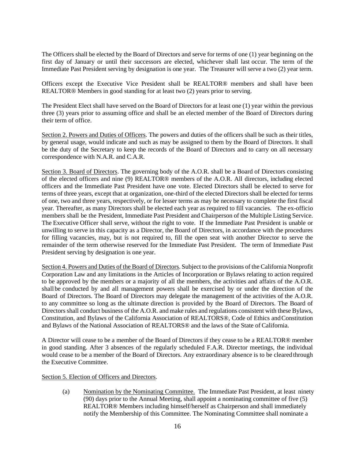The Officers shall be elected by the Board of Directors and serve for terms of one (1) year beginning on the first day of January or until their successors are elected, whichever shall last occur. The term of the Immediate Past President serving by designation is one year. The Treasurer will serve a two (2) year term.

Officers except the Executive Vice President shall be REALTOR® members and shall have been REALTOR® Members in good standing for at least two (2) years prior to serving.

The President Elect shall have served on the Board of Directors for at least one (1) year within the previous three (3) years prior to assuming office and shall be an elected member of the Board of Directors during their term of office.

Section 2. Powers and Duties of Officers. The powers and duties of the officers shall be such as their titles, by general usage, would indicate and such as may be assigned to them by the Board of Directors. It shall be the duty of the Secretary to keep the records of the Board of Directors and to carry on all necessary correspondence with N.A.R. and C.A.R.

Section 3. Board of Directors. The governing body of the A.O.R. shall be a Board of Directors consisting of the elected officers and nine (9) REALTOR® members of the A.O.R. All directors, including elected officers and the Immediate Past President have one vote. Elected Directors shall be elected to serve for terms of three years, except that at organization, one-third of the elected Directors shall be elected for terms of one, two and three years, respectively, or for lesser terms as may be necessary to complete the first fiscal year. Thereafter, as many Directors shall be elected each year as required to fill vacancies. The ex-officio members shall be the President, Immediate Past President and Chairperson of the Multiple Listing Service. The Executive Officer shall serve, without the right to vote. If the Immediate Past President is unable or unwilling to serve in this capacity as a Director, the Board of Directors, in accordance with the procedures for filling vacancies, may, but is not required to, fill the open seat with another Director to serve the remainder of the term otherwise reserved for the Immediate Past President. The term of Immediate Past President serving by designation is one year.

Section 4. Powers and Duties of the Board of Directors. Subject to the provisions of the California Nonprofit Corporation Law and any limitations in the Articles of Incorporation or Bylaws relating to action required to be approved by the members or a majority of all the members, the activities and affairs of the A.O.R. shall be conducted by and all management powers shall be exercised by or under the direction of the Board of Directors. The Board of Directors may delegate the management of the activities of the A.O.R. to any committee so long as the ultimate direction is provided by the Board of Directors. The Board of Directors shall conduct business of the A.O.R. and make rules and regulations consistent with these Bylaws, Constitution, and Bylaws of the California Association of REALTORS®, Code of Ethics andConstitution and Bylaws of the National Association of REALTORS® and the laws of the State of California.

A Director will cease to be a member of the Board of Directors if they cease to be a REALTOR® member in good standing. After 3 absences of the regularly scheduled F.A.R. Director meetings, the individual would cease to be a member of the Board of Directors. Any extraordinary absence is to be cleared through the Executive Committee.

Section 5. Election of Officers and Directors.

(a) Nomination by the Nominating Committee. The Immediate Past President, at least ninety (90) days prior to the Annual Meeting, shall appoint a nominating committee of five (5) REALTOR® Members including himself/herself as Chairperson and shall immediately notify the Membership of this Committee. The Nominating Committee shall nominate a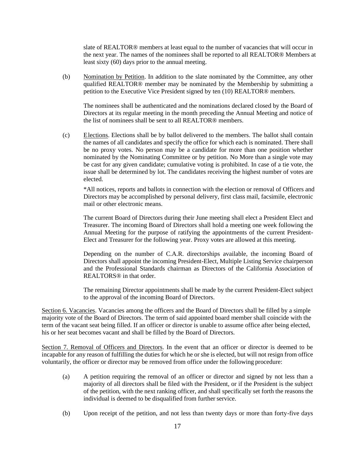slate of REALTOR® members at least equal to the number of vacancies that will occur in the next year. The names of the nominees shall be reported to all REALTOR® Members at least sixty (60) days prior to the annual meeting.

(b) Nomination by Petition. In addition to the slate nominated by the Committee, any other qualified REALTOR® member may be nominated by the Membership by submitting a petition to the Executive Vice President signed by ten (10) REALTOR® members.

The nominees shall be authenticated and the nominations declared closed by the Board of Directors at its regular meeting in the month preceding the Annual Meeting and notice of the list of nominees shall be sent to all REALTOR® members.

(c) Elections. Elections shall be by ballot delivered to the members. The ballot shall contain the names of all candidates and specify the office for which each is nominated. There shall be no proxy votes. No person may be a candidate for more than one position whether nominated by the Nominating Committee or by petition. No More than a single vote may be cast for any given candidate; cumulative voting is prohibited. In case of a tie vote, the issue shall be determined by lot. The candidates receiving the highest number of votes are elected.

\*All notices, reports and ballots in connection with the election or removal of Officers and Directors may be accomplished by personal delivery, first class mail, facsimile, electronic mail or other electronic means.

The current Board of Directors during their June meeting shall elect a President Elect and Treasurer. The incoming Board of Directors shall hold a meeting one week following the Annual Meeting for the purpose of ratifying the appointments of the current President-Elect and Treasurer for the following year. Proxy votes are allowed at this meeting.

Depending on the number of C.A.R. directorships available, the incoming Board of Directors shall appoint the incoming President-Elect, Multiple Listing Service chairperson and the Professional Standards chairman as Directors of the California Association of REALTORS<sup>®</sup> in that order

The remaining Director appointments shall be made by the current President-Elect subject to the approval of the incoming Board of Directors.

Section 6. Vacancies. Vacancies among the officers and the Board of Directors shall be filled by a simple majority vote of the Board of Directors. The term of said appointed board member shall coincide with the term of the vacant seat being filled. If an officer or director is unable to assume office after being elected, his or her seat becomes vacant and shall be filled by the Board of Directors.

Section 7. Removal of Officers and Directors. In the event that an officer or director is deemed to be incapable for any reason of fulfilling the duties for which he or she is elected, but will not resign from office voluntarily, the officer or director may be removed from office under the following procedure:

- (a) A petition requiring the removal of an officer or director and signed by not less than a majority of all directors shall be filed with the President, or if the President is the subject of the petition, with the next ranking officer, and shall specifically set forth the reasons the individual is deemed to be disqualified from further service.
- (b) Upon receipt of the petition, and not less than twenty days or more than forty-five days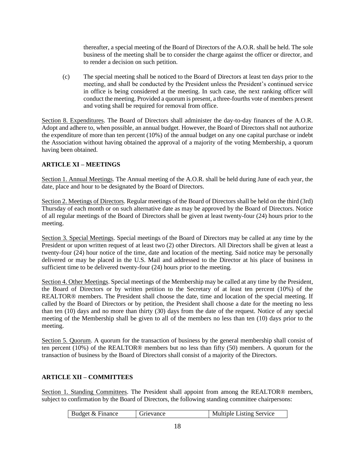thereafter, a special meeting of the Board of Directors of the A.O.R. shall be held. The sole business of the meeting shall be to consider the charge against the officer or director, and to render a decision on such petition.

(c) The special meeting shall be noticed to the Board of Directors at least ten days prior to the meeting, and shall be conducted by the President unless the President's continued service in office is being considered at the meeting. In such case, the next ranking officer will conduct the meeting. Provided a quorum is present, a three-fourths vote of members present and voting shall be required for removal from office.

Section 8. Expenditures. The Board of Directors shall administer the day-to-day finances of the A.O.R. Adopt and adhere to, when possible, an annual budget. However, the Board of Directors shall not authorize the expenditure of more than ten percent (10%) of the annual budget on any one capital purchase or indebt the Association without having obtained the approval of a majority of the voting Membership, a quorum having been obtained.

## <span id="page-21-0"></span>**ARTICLE XI – MEETINGS**

Section 1. Annual Meetings. The Annual meeting of the A.O.R. shall be held during June of each year, the date, place and hour to be designated by the Board of Directors.

Section 2. Meetings of Directors. Regular meetings of the Board of Directors shall be held on the third (3rd) Thursday of each month or on such alternative date as may be approved by the Board of Directors. Notice of all regular meetings of the Board of Directors shall be given at least twenty-four (24) hours prior to the meeting.

Section 3. Special Meetings. Special meetings of the Board of Directors may be called at any time by the President or upon written request of at least two (2) other Directors. All Directors shall be given at least a twenty-four (24) hour notice of the time, date and location of the meeting. Said notice may be personally delivered or may be placed in the U.S. Mail and addressed to the Director at his place of business in sufficient time to be delivered twenty-four (24) hours prior to the meeting.

Section 4. Other Meetings. Special meetings of the Membership may be called at any time by the President, the Board of Directors or by written petition to the Secretary of at least ten percent (10%) of the REALTOR® members. The President shall choose the date, time and location of the special meeting. If called by the Board of Directors or by petition, the President shall choose a date for the meeting no less than ten (10) days and no more than thirty (30) days from the date of the request. Notice of any special meeting of the Membership shall be given to all of the members no less than ten (10) days prior to the meeting.

Section 5. Quorum. A quorum for the transaction of business by the general membership shall consist of ten percent (10%) of the REALTOR® members but no less than fifty (50) members. A quorum for the transaction of business by the Board of Directors shall consist of a majority of the Directors.

## <span id="page-21-1"></span>**ARTICLE XII – COMMITTEES**

Section 1. Standing Committees. The President shall appoint from among the REALTOR® members, subject to confirmation by the Board of Directors, the following standing committee chairpersons:

| Budget & Finance | Grievance | <b>Multiple Listing Service</b> |
|------------------|-----------|---------------------------------|
|------------------|-----------|---------------------------------|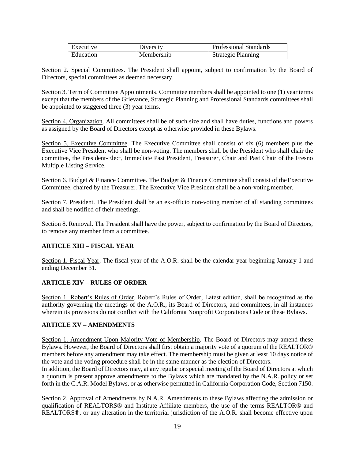| Executive | Diversity  | <b>Professional Standards</b> |
|-----------|------------|-------------------------------|
| Education | Membership | <b>Strategic Planning</b>     |

Section 2. Special Committees. The President shall appoint, subject to confirmation by the Board of Directors, special committees as deemed necessary.

Section 3. Term of Committee Appointments. Committee members shall be appointed to one (1) year terms except that the members of the Grievance, Strategic Planning and Professional Standards committees shall be appointed to staggered three (3) year terms.

Section 4. Organization. All committees shall be of such size and shall have duties, functions and powers as assigned by the Board of Directors except as otherwise provided in these Bylaws.

Section 5. Executive Committee. The Executive Committee shall consist of six (6) members plus the Executive Vice President who shall be non-voting. The members shall be the President who shall chair the committee, the President-Elect, Immediate Past President, Treasurer, Chair and Past Chair of the Fresno Multiple Listing Service.

Section 6. Budget & Finance Committee. The Budget & Finance Committee shall consist of the Executive Committee, chaired by the Treasurer. The Executive Vice President shall be a non-voting member.

Section 7. President. The President shall be an ex-officio non-voting member of all standing committees and shall be notified of their meetings.

Section 8. Removal. The President shall have the power, subject to confirmation by the Board of Directors, to remove any member from a committee.

## <span id="page-22-0"></span>**ARTICLE XIII – FISCAL YEAR**

Section 1. Fiscal Year. The fiscal year of the A.O.R. shall be the calendar year beginning January 1 and ending December 31.

## <span id="page-22-1"></span>**ARTICLE XIV – RULES OF ORDER**

Section 1. Robert's Rules of Order. Robert's Rules of Order, Latest edition, shall be recognized as the authority governing the meetings of the A.O.R., its Board of Directors, and committees, in all instances wherein its provisions do not conflict with the California Nonprofit Corporations Code or these Bylaws.

## <span id="page-22-2"></span>**ARTICLE XV – AMENDMENTS**

Section 1. Amendment Upon Majority Vote of Membership. The Board of Directors may amend these Bylaws. However, the Board of Directors shall first obtain a majority vote of a quorum of the REALTOR® members before any amendment may take effect. The membership must be given at least 10 days notice of the vote and the voting procedure shall be in the same manner as the election of Directors.

In addition, the Board of Directors may, at any regular or special meeting of the Board of Directors at which a quorum is present approve amendments to the Bylaws which are mandated by the N.A.R. policy or set forth in the C.A.R. Model Bylaws, or as otherwise permitted in California Corporation Code, Section 7150.

Section 2. Approval of Amendments by N.A.R. Amendments to these Bylaws affecting the admission or qualification of REALTORS® and Institute Affiliate members, the use of the terms REALTOR® and REALTORS®, or any alteration in the territorial jurisdiction of the A.O.R. shall become effective upon